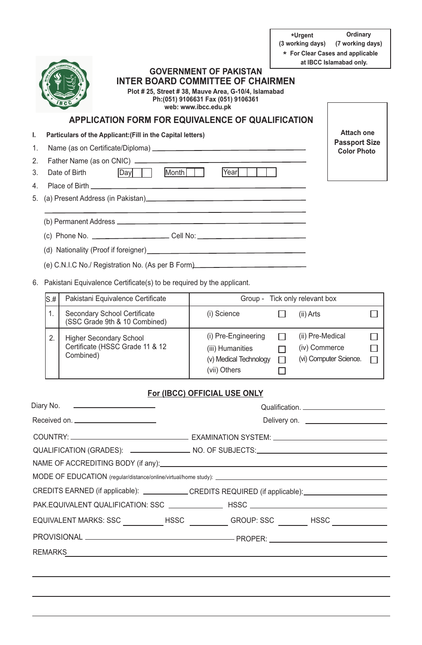**(3 working days) Ordinary (7 working days) Urgent \* For Clear Cases and applicable \*** 

# **Attach one Passport Size Color Photo GOVERNMENT OF PAKISTAN INTER BOARD COMMITTEE OF CHAIRMEN APPLICATION FORM FOR EQUIVALENCE OF QUALIFICATION I. Particulars of the Applicant:(Fill in the Capital letters)** 1. Name (as on Certificate/Diploma) 2. Father Name (as on CNIC) 3. Date of Birth Day | Month | Year | 4. Place of Birth 5. (a) Present Address (in Pakistan) (b) Permanent Address (c) Phone No. Cell No: (d) Nationality (Proof if foreigner) (e) C.N.I.C No./ Registration No. (As per B Form) 6. Pakistani Equivalence Certificate(s) to be required by the applicant.  **Plot # 25, Street # 38, Mauve Area, G-10/4, Islamabad Ph:(051) 9106631 Fax (051) 9106361 web: www.ibcc.edu.pk at IBCC Islamabad only.**

| lS.# | Pakistani Equivalence Certificate                                              | Group - Tick only relevant box                                                    |  |                                                             |  |
|------|--------------------------------------------------------------------------------|-----------------------------------------------------------------------------------|--|-------------------------------------------------------------|--|
|      | <b>Secondary School Certificate</b><br>(SSC Grade 9th & 10 Combined)           | (i) Science                                                                       |  | (ii) Arts                                                   |  |
| 2.   | <b>Higher Secondary School</b><br>Certificate (HSSC Grade 11 & 12<br>Combined) | (i) Pre-Engineering<br>(iii) Humanities<br>(v) Medical Technology<br>(vii) Others |  | (ii) Pre-Medical<br>(iv) Commerce<br>(vi) Computer Science. |  |

## **For (IBCC) OFFICIAL USE ONLY**

| Diary No. 2008 2014 12:00:00 12:00:00 12:00:00 12:00:00 12:00:00 12:00:00 12:00:00 12:00:00 12:00:00 12:00:00 |                                                                                                     |
|---------------------------------------------------------------------------------------------------------------|-----------------------------------------------------------------------------------------------------|
|                                                                                                               |                                                                                                     |
|                                                                                                               | QUALIFICATION (GRADES): __________________ NO. OF SUBJECTS:______________________                   |
|                                                                                                               |                                                                                                     |
|                                                                                                               | CREDITS EARNED (if applicable): ___________CREDITS REQUIRED (if applicable): ______________________ |
|                                                                                                               |                                                                                                     |
|                                                                                                               | EQUIVALENT MARKS: SSC ____________HSSC ____________GROUP: SSC _________HSSC ___________             |
|                                                                                                               |                                                                                                     |
|                                                                                                               |                                                                                                     |
|                                                                                                               |                                                                                                     |
|                                                                                                               |                                                                                                     |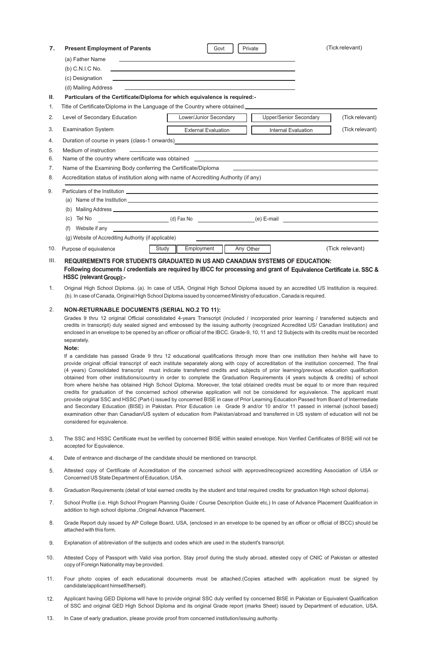| 7.       | <b>Present Employment of Parents</b>                                                                                                                                                                                                                                                                                                                                                                                                                                                                                                                                                                                                                                                                                                                                                                                                                                                                                                                                                                                                                                                                                                                                                                                                                                                  |                                                                                                                  | Govt                       | Private                       |  | (Tick relevant) |
|----------|---------------------------------------------------------------------------------------------------------------------------------------------------------------------------------------------------------------------------------------------------------------------------------------------------------------------------------------------------------------------------------------------------------------------------------------------------------------------------------------------------------------------------------------------------------------------------------------------------------------------------------------------------------------------------------------------------------------------------------------------------------------------------------------------------------------------------------------------------------------------------------------------------------------------------------------------------------------------------------------------------------------------------------------------------------------------------------------------------------------------------------------------------------------------------------------------------------------------------------------------------------------------------------------|------------------------------------------------------------------------------------------------------------------|----------------------------|-------------------------------|--|-----------------|
|          | (a) Father Name                                                                                                                                                                                                                                                                                                                                                                                                                                                                                                                                                                                                                                                                                                                                                                                                                                                                                                                                                                                                                                                                                                                                                                                                                                                                       |                                                                                                                  |                            |                               |  |                 |
|          | (b) C.N.I.C No.                                                                                                                                                                                                                                                                                                                                                                                                                                                                                                                                                                                                                                                                                                                                                                                                                                                                                                                                                                                                                                                                                                                                                                                                                                                                       |                                                                                                                  |                            |                               |  |                 |
|          | (c) Designation                                                                                                                                                                                                                                                                                                                                                                                                                                                                                                                                                                                                                                                                                                                                                                                                                                                                                                                                                                                                                                                                                                                                                                                                                                                                       | and the control of the control of the control of the control of the control of the control of the control of the |                            |                               |  |                 |
|          | (d) Mailing Address                                                                                                                                                                                                                                                                                                                                                                                                                                                                                                                                                                                                                                                                                                                                                                                                                                                                                                                                                                                                                                                                                                                                                                                                                                                                   |                                                                                                                  |                            |                               |  |                 |
| Ш.       | Particulars of the Certificate/Diploma for which equivalence is required:-                                                                                                                                                                                                                                                                                                                                                                                                                                                                                                                                                                                                                                                                                                                                                                                                                                                                                                                                                                                                                                                                                                                                                                                                            |                                                                                                                  |                            |                               |  |                 |
| 1.       | Title of Certificate/Diploma in the Language of the Country where obtained.                                                                                                                                                                                                                                                                                                                                                                                                                                                                                                                                                                                                                                                                                                                                                                                                                                                                                                                                                                                                                                                                                                                                                                                                           |                                                                                                                  |                            |                               |  |                 |
| 2.       | Level of Secondary Education                                                                                                                                                                                                                                                                                                                                                                                                                                                                                                                                                                                                                                                                                                                                                                                                                                                                                                                                                                                                                                                                                                                                                                                                                                                          |                                                                                                                  | Lower/Junior Secondary     | <b>Upper/Senior Secondary</b> |  | (Tick relevant) |
| 3.       | <b>Examination System</b>                                                                                                                                                                                                                                                                                                                                                                                                                                                                                                                                                                                                                                                                                                                                                                                                                                                                                                                                                                                                                                                                                                                                                                                                                                                             |                                                                                                                  | <b>External Evaluation</b> | Internal Evaluation           |  | (Tick relevant) |
| 4.       | Duration of course in years (class-1 onwards) [1994] [2009] [2009] [2009] [2009] [2009] [2009] [2009] [2009] [                                                                                                                                                                                                                                                                                                                                                                                                                                                                                                                                                                                                                                                                                                                                                                                                                                                                                                                                                                                                                                                                                                                                                                        |                                                                                                                  |                            |                               |  |                 |
| 5.       | Medium of instruction<br>Name of the country where certificate was obtained ______________________________                                                                                                                                                                                                                                                                                                                                                                                                                                                                                                                                                                                                                                                                                                                                                                                                                                                                                                                                                                                                                                                                                                                                                                            |                                                                                                                  |                            |                               |  |                 |
| 6.<br>7. | Name of the Examining Body conferring the Certificate/Diploma                                                                                                                                                                                                                                                                                                                                                                                                                                                                                                                                                                                                                                                                                                                                                                                                                                                                                                                                                                                                                                                                                                                                                                                                                         |                                                                                                                  |                            |                               |  |                 |
| 8.       | Accreditation status of institution along with name of Accrediting Authority (if any)                                                                                                                                                                                                                                                                                                                                                                                                                                                                                                                                                                                                                                                                                                                                                                                                                                                                                                                                                                                                                                                                                                                                                                                                 |                                                                                                                  |                            |                               |  |                 |
| 9.       | Particulars of the Institution Learning and the Contract of the Institution Learning and the Institution Learning and the Institution Learning and the Institution Learning and the Institution Learning and the Institution L                                                                                                                                                                                                                                                                                                                                                                                                                                                                                                                                                                                                                                                                                                                                                                                                                                                                                                                                                                                                                                                        |                                                                                                                  |                            |                               |  |                 |
|          | (a) Name of the Institution expansion of the Institution expansion of the Institution of the Institution expansion of the Institution expansion of the Institution expansion of the Institution expansion of the Institution e                                                                                                                                                                                                                                                                                                                                                                                                                                                                                                                                                                                                                                                                                                                                                                                                                                                                                                                                                                                                                                                        |                                                                                                                  |                            |                               |  |                 |
|          |                                                                                                                                                                                                                                                                                                                                                                                                                                                                                                                                                                                                                                                                                                                                                                                                                                                                                                                                                                                                                                                                                                                                                                                                                                                                                       |                                                                                                                  |                            |                               |  |                 |
|          | (d) Fax No (a) contract (e) E-mail (e) - mail (e) - mail (e) - mail (e) - mail (e) - mail (e) - mail (e) - mail (e) - mail (e) - mail (e) - mail (e) - mail (e) - mail (e) - mail (e) - mail (e) - mail (e) - mail (e) - mail<br>(c) Tel No                                                                                                                                                                                                                                                                                                                                                                                                                                                                                                                                                                                                                                                                                                                                                                                                                                                                                                                                                                                                                                           |                                                                                                                  |                            |                               |  |                 |
|          | (f)<br>Website if any the contract of the contract of the contract of the contract of the contract of the contract of the contract of the contract of the contract of the contract of the contract of the contract of the contract of                                                                                                                                                                                                                                                                                                                                                                                                                                                                                                                                                                                                                                                                                                                                                                                                                                                                                                                                                                                                                                                 |                                                                                                                  |                            |                               |  |                 |
|          | (g) Website of Accrediting Authority (if applicable)                                                                                                                                                                                                                                                                                                                                                                                                                                                                                                                                                                                                                                                                                                                                                                                                                                                                                                                                                                                                                                                                                                                                                                                                                                  |                                                                                                                  |                            |                               |  |                 |
| 10.      | Purpose of equivalence                                                                                                                                                                                                                                                                                                                                                                                                                                                                                                                                                                                                                                                                                                                                                                                                                                                                                                                                                                                                                                                                                                                                                                                                                                                                | Employment<br>Study                                                                                              |                            | Any Other                     |  | (Tick relevant) |
| III.     | REQUIREMENTS FOR STUDENTS GRADUATED IN US AND CANADIAN SYSTEMS OF EDUCATION:<br>Following documents / credentials are required by IBCC for processing and grant of Equivalence Certificate i.e. SSC &                                                                                                                                                                                                                                                                                                                                                                                                                                                                                                                                                                                                                                                                                                                                                                                                                                                                                                                                                                                                                                                                                 |                                                                                                                  |                            |                               |  |                 |
|          | <b>HSSC (relevant Group):-</b>                                                                                                                                                                                                                                                                                                                                                                                                                                                                                                                                                                                                                                                                                                                                                                                                                                                                                                                                                                                                                                                                                                                                                                                                                                                        |                                                                                                                  |                            |                               |  |                 |
| 1.       | Original High School Diploma. (a). In case of USA, Original High School Diploma issued by an accredited US Institution is required.<br>(b). In case of Canada, Original High School Diploma issued by concerned Ministry of education, Canada is required.                                                                                                                                                                                                                                                                                                                                                                                                                                                                                                                                                                                                                                                                                                                                                                                                                                                                                                                                                                                                                            |                                                                                                                  |                            |                               |  |                 |
| 2.       | <b>NON-RETURNABLE DOCUMENTS (SERIAL NO.2 TO 11):</b>                                                                                                                                                                                                                                                                                                                                                                                                                                                                                                                                                                                                                                                                                                                                                                                                                                                                                                                                                                                                                                                                                                                                                                                                                                  |                                                                                                                  |                            |                               |  |                 |
|          | Grades 9 thru 12 original Official consolidated 4-years Transcript (included / incorporated prior learning / transferred subjects and<br>credits in transcript) duly sealed signed and embossed by the issuing authority (recognized Accredited US/ Canadian Institution) and<br>enclosed in an envelope to be opened by an officer or official of the IBCC. Grade-9, 10, 11 and 12 Subjects with its credits must be recorded<br>separately.                                                                                                                                                                                                                                                                                                                                                                                                                                                                                                                                                                                                                                                                                                                                                                                                                                         |                                                                                                                  |                            |                               |  |                 |
|          | Note:<br>If a candidate has passed Grade 9 thru 12 educational qualifications through more than one institution then he/she will have to<br>provide original official transcript of each institute separately along with copy of accreditation of the institution concerned. The final<br>(4 years) Consolidated transcript must indicate transferred credits and subjects of prior learning/previous education qualification<br>obtained from other institutions/country in order to complete the Graduation Requirements (4 years subjects & credits) of school<br>from where he/she has obtained High School Diploma. Moreover, the total obtained credits must be equal to or more than required<br>credits for graduation of the concerned school otherwise application will not be considered for equivalence. The applicant must<br>provide original SSC and HSSC (Part-I) issued by concerned BISE in case of Prior Learning Education Passed from Board of Intermediate<br>and Secondary Education (BISE) in Pakistan. Prior Education i.e Grade 9 and/or 10 and/or 11 passed in internal (school based)<br>examination other than Canadian/US system of education from Pakistan/abroad and transferred in US system of education will not be<br>considered for equivalence. |                                                                                                                  |                            |                               |  |                 |
| 3.       | The SSC and HSSC Certificate must be verified by concerned BISE within sealed envelope. Non Verified Certificates of BISE will not be<br>accepted for Equivalence.                                                                                                                                                                                                                                                                                                                                                                                                                                                                                                                                                                                                                                                                                                                                                                                                                                                                                                                                                                                                                                                                                                                    |                                                                                                                  |                            |                               |  |                 |
| 4.       | Date of entrance and discharge of the candidate should be mentioned on transcript.                                                                                                                                                                                                                                                                                                                                                                                                                                                                                                                                                                                                                                                                                                                                                                                                                                                                                                                                                                                                                                                                                                                                                                                                    |                                                                                                                  |                            |                               |  |                 |
| 5.       | Attested copy of Certificate of Accreditation of the concerned school with approved/recognized accrediting Association of USA or<br>Concerned US State Department of Education, USA.                                                                                                                                                                                                                                                                                                                                                                                                                                                                                                                                                                                                                                                                                                                                                                                                                                                                                                                                                                                                                                                                                                  |                                                                                                                  |                            |                               |  |                 |
| 6.       | Graduation Requirements (detail of total earned credits by the student and total required credits for graduation High school diploma).                                                                                                                                                                                                                                                                                                                                                                                                                                                                                                                                                                                                                                                                                                                                                                                                                                                                                                                                                                                                                                                                                                                                                |                                                                                                                  |                            |                               |  |                 |
| 7.       | School Profile (i.e. High School Program Planning Guide / Course Description Guide etc,) In case of Advance Placement Qualification in<br>addition to high school diploma, Original Advance Placement.                                                                                                                                                                                                                                                                                                                                                                                                                                                                                                                                                                                                                                                                                                                                                                                                                                                                                                                                                                                                                                                                                |                                                                                                                  |                            |                               |  |                 |
| 8.       | Grade Report duly issued by AP College Board, USA, (enclosed in an envelope to be opened by an officer or official of IBCC) should be<br>attached with this form.                                                                                                                                                                                                                                                                                                                                                                                                                                                                                                                                                                                                                                                                                                                                                                                                                                                                                                                                                                                                                                                                                                                     |                                                                                                                  |                            |                               |  |                 |
| 9.       | Explanation of abbreviation of the subjects and codes which are used in the student's transcript.                                                                                                                                                                                                                                                                                                                                                                                                                                                                                                                                                                                                                                                                                                                                                                                                                                                                                                                                                                                                                                                                                                                                                                                     |                                                                                                                  |                            |                               |  |                 |
| 10.      | Attested Copy of Passport with Valid visa portion, Stay proof during the study abroad, attested copy of CNIC of Pakistan or attested<br>copy of Foreign Nationality may be provided.                                                                                                                                                                                                                                                                                                                                                                                                                                                                                                                                                                                                                                                                                                                                                                                                                                                                                                                                                                                                                                                                                                  |                                                                                                                  |                            |                               |  |                 |

- Four photo copies of each educational documents must be attached.(Copies attached with application must be signed by candidate/applicant himself/herself). 11.
- Applicant having GED Diploma will have to provide original SSC duly verified by concerned BISE in Pakistan or Equivalent Qualification of SSC and original GED High School Diploma and its original Grade report (marks Sheet) issued by Department of education, USA. 12.
- 13. In Case of early graduation, please provide proof from concerned institution/issuing authority.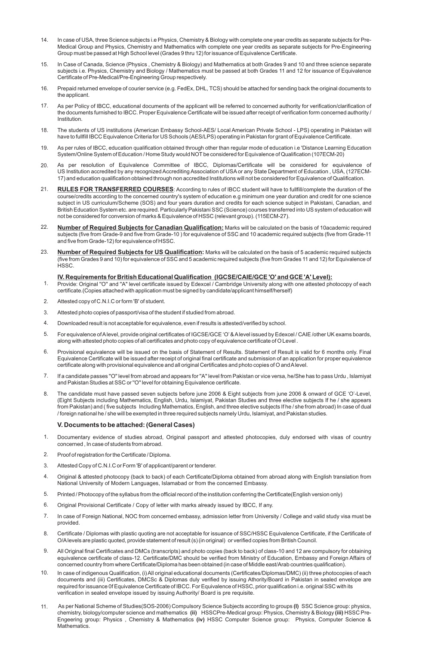- In case of USA, three Science subjects i.e Physics, Chemistry & Biology with complete one year credits as separate subjects for Pre-Medical Group and Physics, Chemistry and Mathematics with complete one year credits as separate subjects for Pre-Engineering Group must be passed at High School level (Grades 9 thru 12) for issuance of Equivalence Certificate. 14.
- 15. In Case of Canada, Science (Physics , Chemistry & Biology) and Mathematics at both Grades 9 and 10 and three science separate subjects i.e. Physics, Chemistry and Biology / Mathematics must be passed at both Grades 11 and 12 for issuance of Equivalence Certificate of Pre-Medical/Pre-Engineering Group respectively.
- 16. Prepaid returned envelope of courier service (e.g. FedEx, DHL, TCS) should be attached for sending back the original documents to the applicant.
- 17. As per Policy of IBCC, educational documents of the applicant will be referred to concerned authority for verification/clarification of the documents furnished to IBCC. Proper Equivalence Certificate will be issued after receipt of verification form concerned authority / Institution.
- 18. The students of US institutions (American Embassy School-AES/ Local American Private School - LPS) operating in Pakistan will have to fullfill IBCC Equivalence Criteria for US Schools (AES/LPS) operating in Pakistan for grant of Equivalence Certificate.
- 19. As per rules of IBCC, education qualification obtained through other than regular mode of education i.e 'Distance Learning Education System/Online System of Education / Home Study would NOT be considered for Equivalence of Qualification (107ECM-20)
- 20. As per resolution of Equivalence Committee of IBCC, Diplomas/Certificate will be considered for equivalence of US Institution accredited by any recognized Accrediting Association of USAor any State Department of Education , USA, (127ECM-17) and education qualification obtained through non accredited Institutions will not be considered for Equivalence of Qualification.
- 21. **RULES FOR TRANSFERRED COURSES**: According to rules of IBCC student will have to fullfill/complete the duration of the course/credits according to the concerned country's system of education e.g minimum one year duration and credit for one science subject in US curriculum/Scheme (SOS) and four years duration and credits for each science subject in Pakistani, Canadian, and British Education System etc. are required. Particularly Pakistani SSC (Science) courses transferred into US system of education will not be considered for conversion of marks & Equivalence of HSSC (relevant group). (115ECM-27).
- 22. **Number of Required Subjects for Canadian Qualification:** Marks will be calculated on the basis of 10academic required subjects (five from Grade-9 and five from Grade-10 ) for equivalence of SSC and 10 academic required subjects (five from Grade-11 and five from Grade-12) for equivalence of HSSC.
- 23. **Number of Required Subjects for US Qualification:** Marks will be calculated on the basis of 5 academic required subjects (five from Grades 9 and 10) for equivalence of SSC and 5 academic required subjects (five from Grades 11 and 12) for Equivalence of HSSC.

#### **IV. Requirements for British Educational Qualification (IGCSE/CAIE/GCE 'O' and GCE 'A' Level):**

- 1. Provide: Original "O" and "A" level certificate issued by Edexcel / Cambridge University along with one attested photocopy of each certificate.(Copies attached with application must be signed by candidate/applicant himself/herself)
- 2. Attested copy of C.N.I.C or form 'B' of student.
- 3. Attested photo copies of passport/visa of the student if studied from abroad.
- 4. Downloaded result is not acceptable for equivalence, even if results is attested/verified by school.
- 5. For equivalence of Alevel, provide original certificates of IGCSE/GCE 'O'& Alevel issued by Edexcel / CAIE /other UK exams boards, along with attested photo copies of all certificates and photo copy of equivalence certificate of O Level .
- 6. Provisional equivalence will be issued on the basis of Statement of Results. Statement of Result is valid for 6 months only. Final Equivalence Certificate will be issued after receipt of original final certificate and submission of an application for proper equivalence certificate along with provisional equivalence and all original Certificates and photo copies of O and Alevel.
- 7. If a candidate passes ''O'' level from abroad and appears for ''A'' level from Pakistan or vice versa, he/She has to pass Urdu , Islamiyat and Pakistan Studies at SSC or ''O'' level for obtaining Equivalence certificate.
- 8. The candidate must have passed seven subjects before june 2006 & Eight subjects from june 2006 & onward of GCE 'O'-Level, (Eight Subjects including Mathematics, English, Urdu, Islamiyat, Pakistan Studies and three elective subjects If he / she appears from Pakistan) and ( five subjects Including Mathematics, English, and three elective subjects If he / she from abroad) In case of dual / foreign national he / she will be exempted in three required subjects namely Urdu, Islamiyat, and Pakistan studies.

#### **V. Documents to be attached: (General Cases)**

- 1. Documentary evidence of studies abroad, Original passport and attested photocopies, duly endorsed with visas of country concerned , In case of students from abroad.
- $\mathcal{L}$ Proof of registration for the Certificate / Diploma.
- 3. Attested Copy of C.N.I.C or Form 'B' of applicant/parent or tenderer.
- 4. Original & attested photocopy (back to back) of each Certificate/Diploma obtained from abroad along with English translation from National University of Modern Languages, Islamabad or from the concerned Embassy.
- 5. Printed / Photocopy of the syllabus from the official record of the institution conferring the Certificate(English version only)
- 6. Original Provisional Certificate / Copy of letter with marks already issued by IBCC, If any.
- 7. In case of Foreign National, NOC from concerned embassy, admission letter from University / College and valid study visa must be provided.
- 8. Certificate / Diplomas with plastic quoting are not acceptable for issuance of SSC/HSSC Equivalence Certificate, if the Certificate of O/Alevels are plastic quoted, provide statement of result (s) (in original) or verified copies from British Council.
- 9. All Original final Certificates and DMCs (transcripts) and photo copies (back to back) of class-10 and 12 are compulsory for obtaining equivalence certificate of class-12. Certificate/DMC should be verified from Ministry of Education, Embassy and Foreign Affairs of concerned country from where Certificate/Diploma has been obtained (in case of Middle east/Arab countries qualification).
- 10. In case of indigenous Qualification, (i) All original educational documents (Certificates/Diplomas/DMC) (ii) three photocopies of each documents and (iii) Certificates, DMCSc & Diplomas duly verified by issuing Athority/Board in Pakistan in sealed envelope are required for issuance 0f Equivalence Certificate of IBCC. For Equivalence of HSSC, prior qualification i.e. original SSC with its verification in sealed envelope issued by issuing Authority/ Board is pre requisite.
- 11. As per National Scheme of Studies(SOS-2006) Compulsory Science Subjects according to groups **(I)** SSC Science group: physics, chemistry, biology/computer science and mathematics **(ii)** HSSCPre-Medical group: Physics, Chemistry & Biology **(iii)** HSSC Pre-Engeering group: Physics , Chemistry & Mathematics **(iv)** HSSC Computer Science group: Physics, Computer Science & Mathematics.